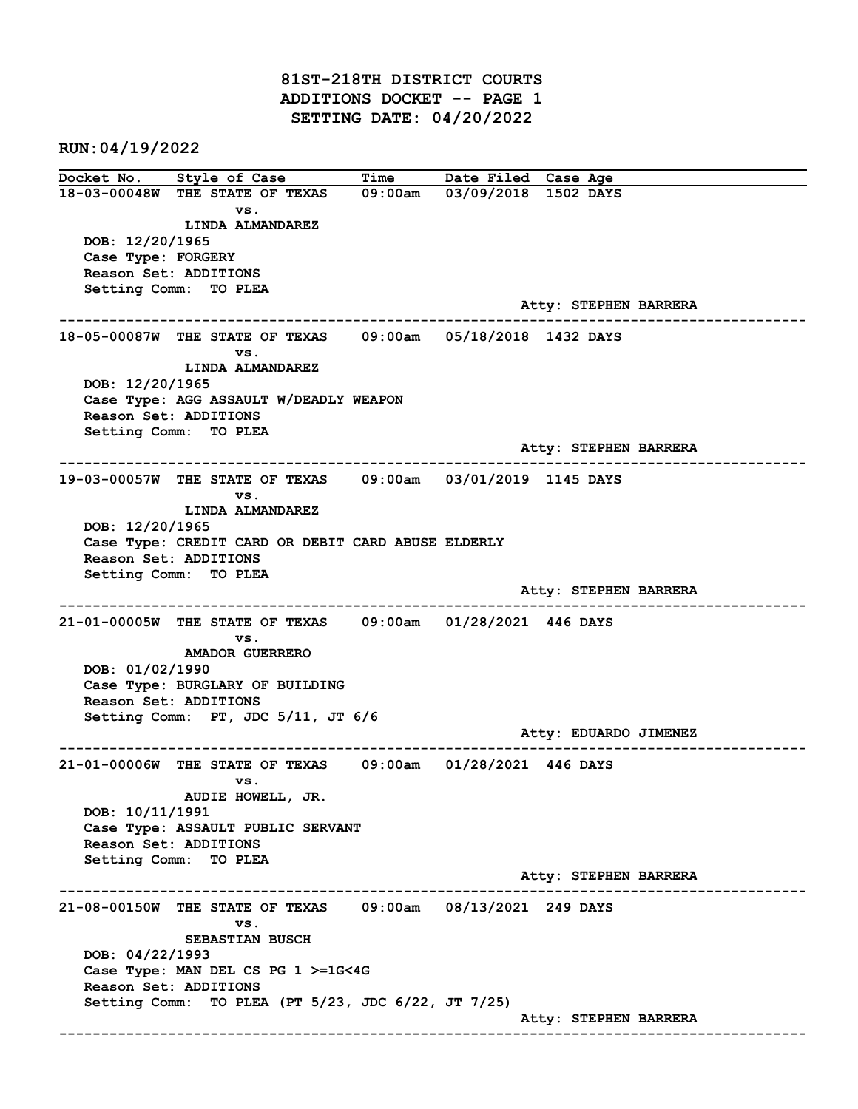81ST-218TH DISTRICT COURTS ADDITIONS DOCKET -- PAGE 1 SETTING DATE: 04/20/2022

RUN:04/19/2022

Docket No. Style of Case Time Date Filed Case Age 18-03-00048W THE STATE OF TEXAS 09:00am 03/09/2018 1502 DAYS vs. LINDA ALMANDAREZ DOB: 12/20/1965 Case Type: FORGERY Reason Set: ADDITIONS Setting Comm: TO PLEA Atty: STEPHEN BARRERA ------------------------------------------------------------------------------------------------------------------------ 18-05-00087W THE STATE OF TEXAS 09:00am 05/18/2018 1432 DAYS vs. LINDA ALMANDAREZ DOB: 12/20/1965 Case Type: AGG ASSAULT W/DEADLY WEAPON Reason Set: ADDITIONS Setting Comm: TO PLEA Atty: STEPHEN BARRERA ------------------------------------------------------------------------------------------------------------------------ 19-03-00057W THE STATE OF TEXAS 09:00am 03/01/2019 1145 DAYS vs. LINDA ALMANDAREZ DOB: 12/20/1965 Case Type: CREDIT CARD OR DEBIT CARD ABUSE ELDERLY Reason Set: ADDITIONS Setting Comm: TO PLEA Atty: STEPHEN BARRERA ------------------------------------------------------------------------------------------------------------------------ 21-01-00005W THE STATE OF TEXAS 09:00am 01/28/2021 446 DAYS vs. AMADOR GUERRERO DOB: 01/02/1990 Case Type: BURGLARY OF BUILDING Reason Set: ADDITIONS Setting Comm: PT, JDC 5/11, JT 6/6 Atty: EDUARDO JIMENEZ ------------------------------------------------------------------------------------------------------------------------ 21-01-00006W THE STATE OF TEXAS 09:00am 01/28/2021 446 DAYS vs. AUDIE HOWELL, JR. DOB: 10/11/1991 Case Type: ASSAULT PUBLIC SERVANT Reason Set: ADDITIONS Setting Comm: TO PLEA Atty: STEPHEN BARRERA ------------------------------------------------------------------------------------------------------------------------ 21-08-00150W THE STATE OF TEXAS 09:00am 08/13/2021 249 DAYS vs. SEBASTIAN BUSCH DOB: 04/22/1993 Case Type: MAN DEL CS PG 1 >=1G<4G Reason Set: ADDITIONS Setting Comm: TO PLEA (PT 5/23, JDC 6/22, JT 7/25) Atty: STEPHEN BARRERA ------------------------------------------------------------------------------------------------------------------------